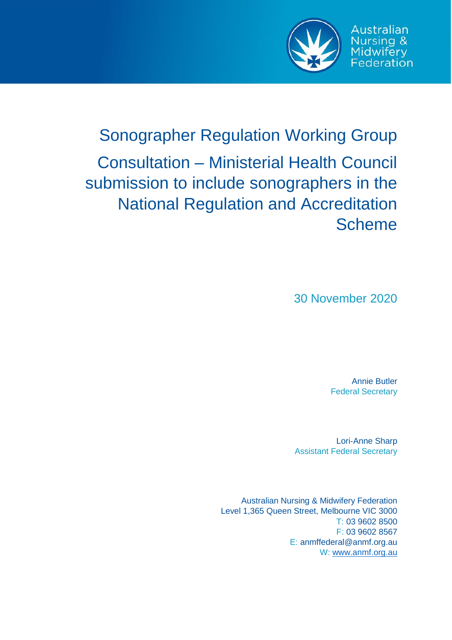

Australian Nursing &

Midwifery<br>Federation

# Sonographer Regulation Working Group Consultation – Ministerial Health Council submission to include sonographers in the National Regulation and Accreditation **Scheme**

30 November 2020

Annie Butler Federal Secretary

Lori-Anne Sharp Assistant Federal Secretary

Australian Nursing & Midwifery Federation Level 1,365 Queen Street, Melbourne VIC 3000 T: 03 9602 8500 F: 03 9602 8567 E: anmffederal@anmf.org.au W[: www.anmf.org.au](http://www.anmf.org.au/)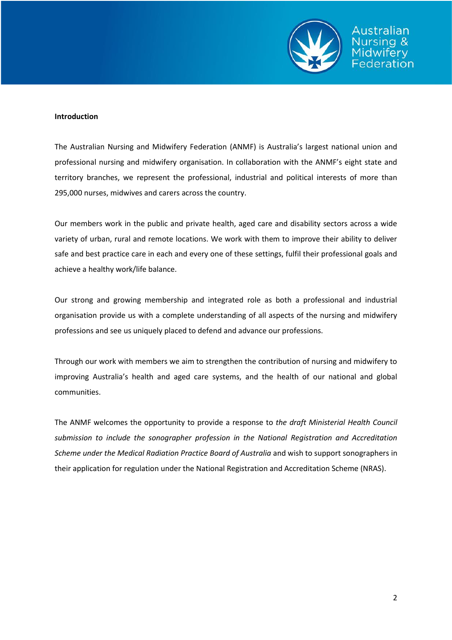

#### **Introduction**

The Australian Nursing and Midwifery Federation (ANMF) is Australia's largest national union and professional nursing and midwifery organisation. In collaboration with the ANMF's eight state and territory branches, we represent the professional, industrial and political interests of more than 295,000 nurses, midwives and carers across the country.

Our members work in the public and private health, aged care and disability sectors across a wide variety of urban, rural and remote locations. We work with them to improve their ability to deliver safe and best practice care in each and every one of these settings, fulfil their professional goals and achieve a healthy work/life balance.

Our strong and growing membership and integrated role as both a professional and industrial organisation provide us with a complete understanding of all aspects of the nursing and midwifery professions and see us uniquely placed to defend and advance our professions.

Through our work with members we aim to strengthen the contribution of nursing and midwifery to improving Australia's health and aged care systems, and the health of our national and global communities.

The ANMF welcomes the opportunity to provide a response to *the draft Ministerial Health Council submission to include the sonographer profession in the National Registration and Accreditation Scheme under the Medical Radiation Practice Board of Australia* and wish to support sonographers in their application for regulation under the National Registration and Accreditation Scheme (NRAS).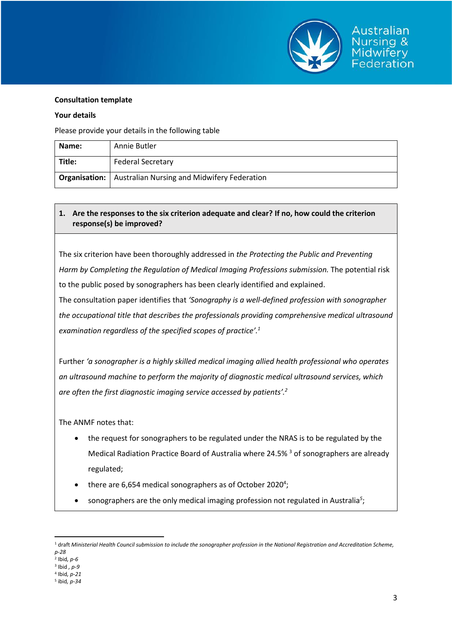

Australian Jursina &

Federation

### **Your details**

Please provide your details in the following table

| Name:  | Annie Butler                                                |
|--------|-------------------------------------------------------------|
| Title: | <b>Federal Secretary</b>                                    |
|        | Organisation:   Australian Nursing and Midwifery Federation |

# **1. Are the responses to the six criterion adequate and clear? If no, how could the criterion response(s) be improved?**

The six criterion have been thoroughly addressed in *the Protecting the Public and Preventing Harm by Completing the Regulation of Medical Imaging Professions submission.* The potential risk to the public posed by sonographers has been clearly identified and explained.

The consultation paper identifies that *'Sonography is a well-defined profession with sonographer the occupational title that describes the professionals providing comprehensive medical ultrasound examination regardless of the specified scopes of practice'. 1*

Further *'a sonographer is a highly skilled medical imaging allied health professional who operates an ultrasound machine to perform the majority of diagnostic medical ultrasound services, which are often the first diagnostic imaging service accessed by patients'. 2*

The ANMF notes that:

- the request for sonographers to be regulated under the NRAS is to be regulated by the Medical Radiation Practice Board of Australia where 24.5%<sup>3</sup> of sonographers are already regulated;
- $\bullet$  there are 6,654 medical sonographers as of October 2020<sup>4</sup>;
- **•** sonographers are the only medical imaging profession not regulated in Australia<sup>5</sup>;

 $\overline{a}$ <sup>1</sup> draft *Ministerial Health Council submission to include the sonographer profession in the National Registration and Accreditation Scheme, p-28*

<sup>2</sup> Ibid*, p-6*

<sup>3</sup> Ibid *, p-9*

<sup>4</sup> Ibid*, p-21*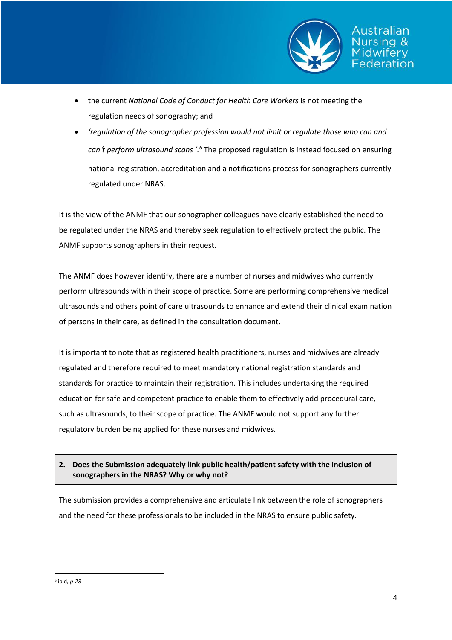

Australian Jursina &

ederation

- the current *National Code of Conduct for Health Care Workers* is not meeting the regulation needs of sonography; and
- *'regulation of the sonographer profession would not limit or regulate those who can and can*'*t perform ultrasound scans '. <sup>6</sup>* The proposed regulation is instead focused on ensuring national registration, accreditation and a notifications process for sonographers currently regulated under NRAS.

It is the view of the ANMF that our sonographer colleagues have clearly established the need to be regulated under the NRAS and thereby seek regulation to effectively protect the public. The ANMF supports sonographers in their request.

The ANMF does however identify, there are a number of nurses and midwives who currently perform ultrasounds within their scope of practice. Some are performing comprehensive medical ultrasounds and others point of care ultrasounds to enhance and extend their clinical examination of persons in their care, as defined in the consultation document.

It is important to note that as registered health practitioners, nurses and midwives are already regulated and therefore required to meet mandatory national registration standards and standards for practice to maintain their registration. This includes undertaking the required education for safe and competent practice to enable them to effectively add procedural care, such as ultrasounds, to their scope of practice. The ANMF would not support any further regulatory burden being applied for these nurses and midwives.

# **2. Does the Submission adequately link public health/patient safety with the inclusion of sonographers in the NRAS? Why or why not?**

The submission provides a comprehensive and articulate link between the role of sonographers and the need for these professionals to be included in the NRAS to ensure public safety.

 $\overline{a}$ 

<sup>6</sup> ibid*, p-28*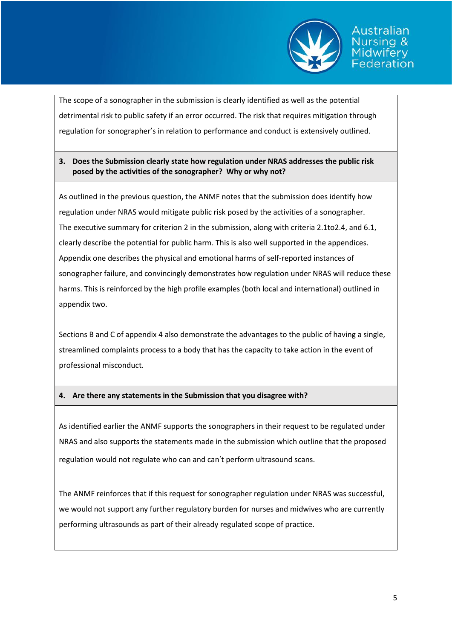

Australian

ederation

The scope of a sonographer in the submission is clearly identified as well as the potential detrimental risk to public safety if an error occurred. The risk that requires mitigation through regulation for sonographer's in relation to performance and conduct is extensively outlined.

## **3. Does the Submission clearly state how regulation under NRAS addresses the public risk posed by the activities of the sonographer? Why or why not?**

As outlined in the previous question, the ANMF notes that the submission does identify how regulation under NRAS would mitigate public risk posed by the activities of a sonographer. The executive summary for criterion 2 in the submission, along with criteria 2.1to2.4, and 6.1, clearly describe the potential for public harm. This is also well supported in the appendices. Appendix one describes the physical and emotional harms of self-reported instances of sonographer failure, and convincingly demonstrates how regulation under NRAS will reduce these harms. This is reinforced by the high profile examples (both local and international) outlined in appendix two.

Sections B and C of appendix 4 also demonstrate the advantages to the public of having a single, streamlined complaints process to a body that has the capacity to take action in the event of professional misconduct.

## **4. Are there any statements in the Submission that you disagree with?**

As identified earlier the ANMF supports the sonographers in their request to be regulated under NRAS and also supports the statements made in the submission which outline that the proposed regulation would not regulate who can and can't perform ultrasound scans.

The ANMF reinforces that if this request for sonographer regulation under NRAS was successful, we would not support any further regulatory burden for nurses and midwives who are currently performing ultrasounds as part of their already regulated scope of practice.